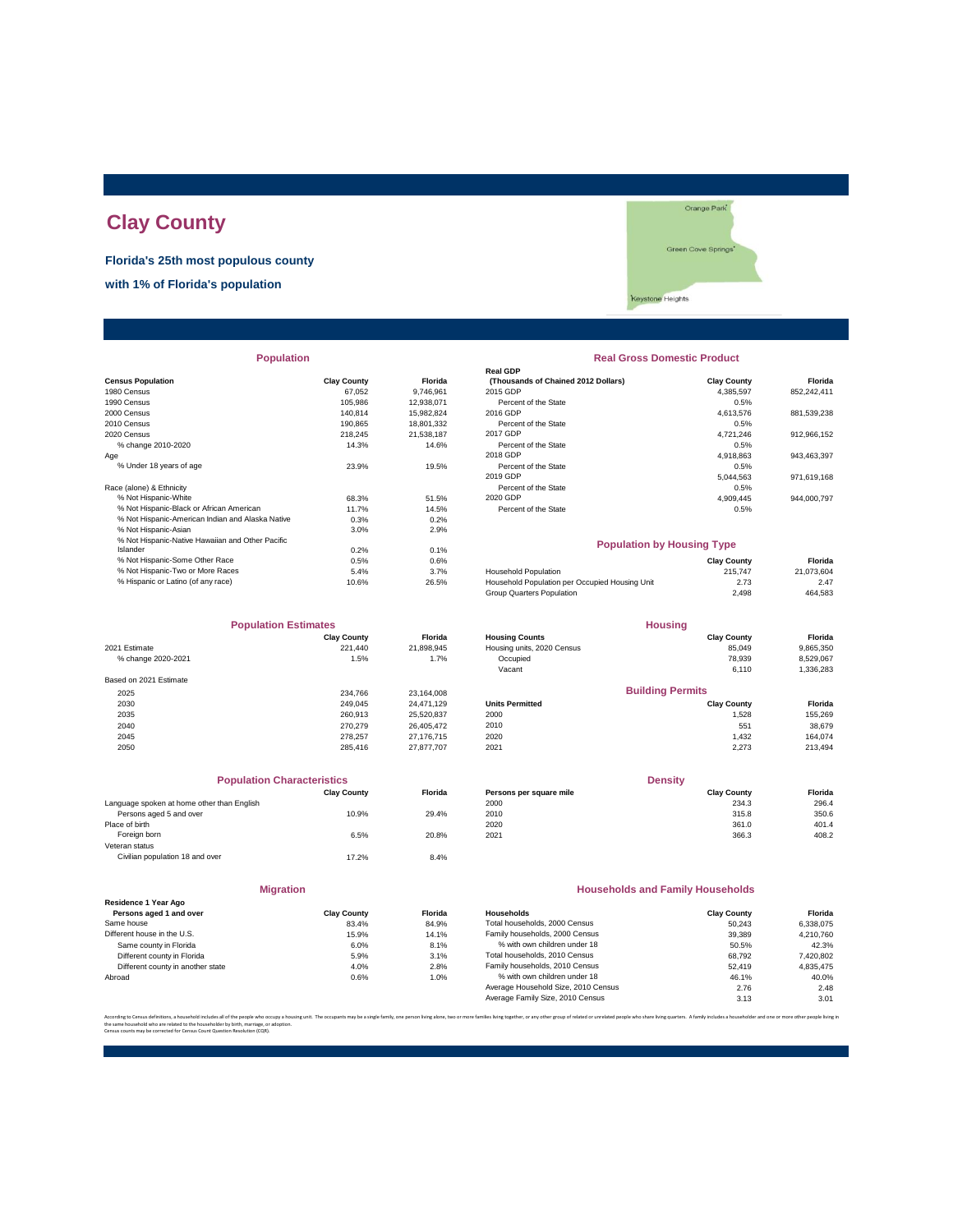# **Clay County**

**Florida's 25th most populous county**

**with 1% of Florida's population**

Orange Park Green Cove Springs' Keystone Heights

| <b>Population</b>                                |                    |                | <b>Real Gross Domestic Product</b>             |                    |             |  |
|--------------------------------------------------|--------------------|----------------|------------------------------------------------|--------------------|-------------|--|
|                                                  |                    |                | <b>Real GDP</b>                                |                    |             |  |
| <b>Census Population</b>                         | <b>Clay County</b> | <b>Florida</b> | (Thousands of Chained 2012 Dollars)            | <b>Clay County</b> | Florida     |  |
| 1980 Census                                      | 67.052             | 9,746,961      | 2015 GDP                                       | 4.385.597          | 852,242,411 |  |
| 1990 Census                                      | 105,986            | 12,938,071     | Percent of the State                           | 0.5%               |             |  |
| 2000 Census                                      | 140,814            | 15,982,824     | 2016 GDP                                       | 4,613,576          | 881,539,238 |  |
| 2010 Census                                      | 190,865            | 18,801,332     | Percent of the State                           | 0.5%               |             |  |
| 2020 Census                                      | 218,245            | 21,538,187     | 2017 GDP                                       | 4,721,246          | 912,966,152 |  |
| % change 2010-2020                               | 14.3%              | 14.6%          | Percent of the State                           | 0.5%               |             |  |
| Age                                              |                    |                | 2018 GDP                                       | 4,918,863          | 943,463,397 |  |
| % Under 18 years of age                          | 23.9%              | 19.5%          | Percent of the State                           | 0.5%               |             |  |
|                                                  |                    |                | 2019 GDP                                       | 5,044,563          | 971,619,168 |  |
| Race (alone) & Ethnicity                         |                    |                | Percent of the State                           | 0.5%               |             |  |
| % Not Hispanic-White                             | 68.3%              | 51.5%          | 2020 GDP                                       | 4.909.445          | 944,000,797 |  |
| % Not Hispanic-Black or African American         | 11.7%              | 14.5%          | Percent of the State                           | 0.5%               |             |  |
| % Not Hispanic-American Indian and Alaska Native | 0.3%               | 0.2%           |                                                |                    |             |  |
| % Not Hispanic-Asian                             | 3.0%               | 2.9%           |                                                |                    |             |  |
| % Not Hispanic-Native Hawaiian and Other Pacific |                    |                | <b>Population by Housing Type</b>              |                    |             |  |
| Islander                                         | 0.2%               | 0.1%           |                                                |                    |             |  |
| % Not Hispanic-Some Other Race                   | 0.5%               | 0.6%           |                                                | <b>Clay County</b> | Florida     |  |
| % Not Hispanic-Two or More Races                 | 5.4%               | 3.7%           | Household Population                           | 215,747            | 21,073,604  |  |
| % Hispanic or Latino (of any race)               | 10.6%              | 26.5%          | Household Population per Occupied Housing Unit | 2.73               | 2.47        |  |
|                                                  |                    |                |                                                |                    |             |  |

| <b>Population Estimates</b> |                    | <b>Housing</b> |                            |                         |           |
|-----------------------------|--------------------|----------------|----------------------------|-------------------------|-----------|
|                             | <b>Clay County</b> | <b>Florida</b> | <b>Housing Counts</b>      | <b>Clay County</b>      | Florida   |
| 2021 Estimate               | 221.440            | 21,898,945     | Housing units, 2020 Census | 85,049                  | 9,865,350 |
| % change 2020-2021          | 1.5%               | 1.7%           | Occupied                   | 78,939                  | 8,529,067 |
|                             |                    |                | Vacant                     | 6,110                   | 1,336,283 |
| Based on 2021 Estimate      |                    |                |                            |                         |           |
| 2025                        | 234.766            | 23,164,008     |                            | <b>Building Permits</b> |           |
| 2030                        | 249.045            | 24.471.129     | <b>Units Permitted</b>     | <b>Clay County</b>      | Florida   |
| 2035                        | 260,913            | 25,520,837     | 2000                       | 1,528                   | 155,269   |
| 2040                        | 270.279            | 26,405,472     | 2010                       | 551                     | 38,679    |
| 2045                        | 278.257            | 27,176,715     | 2020                       | 1.432                   | 164,074   |
| 2050                        | 285.416            | 27,877,707     | 2021                       | 2.273                   | 213,494   |

|                                            | <b>Population Characteristics</b> |                |
|--------------------------------------------|-----------------------------------|----------------|
|                                            | <b>Clay County</b>                | <b>Florida</b> |
| Language spoken at home other than English |                                   |                |
| Persons aged 5 and over                    | 10.9%                             | 29.4%          |
| Place of birth                             |                                   |                |
| Foreign born                               | 6.5%                              | 20.8%          |
| Veteran status                             |                                   |                |
| Civilian population 18 and over            | 17.2%                             | 8.4%           |
|                                            |                                   |                |

| <b>Migration</b>                                |                    |               |
|-------------------------------------------------|--------------------|---------------|
| Residence 1 Year Ago<br>Persons aged 1 and over | <b>Clay County</b> | <b>Florid</b> |
| Same house                                      | 83.4%              | 84.99         |
| Different house in the U.S.                     | 15.9%              | 14.19         |
| Same county in Florida                          | 6.0%               | 8.19          |
| Different county in Florida                     | 5.9%               | 3.19          |
| Different county in another state               | 4.0%               | 2.89          |
| Abroad                                          | 0.6%               | $1.0^\circ$   |

| <b>Population</b>                                |                    |                  | <b>Real Gross Domestic Product</b>  |                    |             |  |
|--------------------------------------------------|--------------------|------------------|-------------------------------------|--------------------|-------------|--|
|                                                  |                    |                  | <b>Real GDP</b>                     |                    |             |  |
| sus Population                                   | <b>Clay County</b> | <b>Florida</b>   | (Thousands of Chained 2012 Dollars) | <b>Clay County</b> | Florida     |  |
| 0 Census                                         | 67.052             | 9.746.961        | 2015 GDP                            | 4.385.597          | 852.242.411 |  |
| 0 Census                                         | 105.986            | 12.938.071       | Percent of the State                | 0.5%               |             |  |
| 0 Census                                         | 140.814            | 15.982.824       | 2016 GDP                            | 4.613.576          | 881,539,238 |  |
| 0 Census                                         | 190.865            | 18.801.332       | Percent of the State                | 0.5%               |             |  |
| 0 Census                                         | 218.245            | 21.538.187       | 2017 GDP                            | 4.721.246          | 912,966,152 |  |
| % change 2010-2020                               | 14.3%              | 14.6%            | Percent of the State                | 0.5%               |             |  |
|                                                  |                    |                  | 2018 GDP                            | 4.918.863          | 943,463,397 |  |
| % Under 18 years of age                          | 23.9%              | 19.5%            | Percent of the State                | 0.5%               |             |  |
|                                                  |                    |                  | 2019 GDP                            | 5.044.563          | 971,619,168 |  |
| e (alone) & Ethnicity                            |                    |                  | Percent of the State                | 0.5%               |             |  |
| % Not Hispanic-White                             | 68.3%              | 51.5%            | 2020 GDP                            | 4.909.445          | 944.000.797 |  |
| % Not Hispanic-Black or African American         | 11.7%              | 14.5%            | Percent of the State                | 0.5%               |             |  |
| % Not Hispanic-American Indian and Alaska Native | 0.3%               | 0.2%             |                                     |                    |             |  |
| % Not Hienanie Acian                             | 200                | 200 <sup>2</sup> |                                     |                    |             |  |

### **Population by Housing Type**

| % Not Hispanic-Some Other Race     | $0.5\%$ | 0.6%  |                                                | <b>Clav County</b> | Florida    |
|------------------------------------|---------|-------|------------------------------------------------|--------------------|------------|
| % Not Hispanic-Two or More Races   | 5.4%    | 3.7%  | <b>Household Population</b>                    | 215.747            | 21.073.604 |
| % Hispanic or Latino (of any race) | 10.6%   | 26.5% | Household Population per Occupied Housing Unit | 2.73               | 2.47       |
|                                    |         |       | Group Quarters Population                      | 2.498              | 464,583    |
|                                    |         |       |                                                |                    |            |

| <b>Population Estimates</b> |                    | <b>Housing</b> |                            |                         |           |
|-----------------------------|--------------------|----------------|----------------------------|-------------------------|-----------|
|                             | <b>Clay County</b> | <b>Florida</b> | <b>Housing Counts</b>      | <b>Clay County</b>      | Florida   |
| 2021 Estimate               | 221,440            | 21,898,945     | Housing units, 2020 Census | 85.049                  | 9,865,350 |
| % change 2020-2021          | 1.5%               | 1.7%           | Occupied                   | 78,939                  | 8,529,067 |
|                             |                    |                | Vacant                     | 6,110                   | 1,336,283 |
| Based on 2021 Estimate      |                    |                |                            |                         |           |
| 2025                        | 234.766            | 23.164.008     |                            | <b>Building Permits</b> |           |
| 2030                        | 249.045            | 24.471.129     | <b>Units Permitted</b>     | <b>Clay County</b>      | Florida   |
| 2035                        | 260.913            | 25,520,837     | 2000                       | 1,528                   | 155,269   |
| 2040                        | 270.279            | 26,405,472     | 2010                       | 551                     | 38,679    |
| 2045                        | 278.257            | 27.176.715     | 2020                       | 1,432                   | 164.074   |
| 2050                        | 285 416            | 27 877 707     | 2021                       | 2273                    | 213 494   |

| <b>Population Characteristics</b> |                                            |                                     | <b>Densitv</b>                   |         |  |
|-----------------------------------|--------------------------------------------|-------------------------------------|----------------------------------|---------|--|
|                                   |                                            | Persons per square mile             | <b>Clay County</b>               | Florida |  |
|                                   |                                            | 2000                                | 234.3                            | 296.4   |  |
|                                   |                                            | 2010                                | 315.8                            | 350.6   |  |
|                                   |                                            | 2020                                | 361.0                            | 401.4   |  |
|                                   |                                            | 2021                                | 366.3                            | 408.2   |  |
|                                   | Language spoken at home other than English | <b>Clay County</b><br>10.9%<br>6.5% | <b>Florida</b><br>29.4%<br>20.8% |         |  |

#### **Households and Family Households**

| <b>Clay County</b> | <b>Florida</b> | Households                          | <b>Clay County</b> | Florida   |
|--------------------|----------------|-------------------------------------|--------------------|-----------|
| 83.4%              | 84.9%          | Total households, 2000 Census       | 50.243             | 6.338.075 |
| 15.9%              | 14.1%          | Family households, 2000 Census      | 39,389             | 4.210.760 |
| 6.0%               | 8.1%           | % with own children under 18        | 50.5%              | 42.3%     |
| 5.9%               | 3.1%           | Total households, 2010 Census       | 68.792             | 7,420,802 |
| 4.0%               | 2.8%           | Family households, 2010 Census      | 52,419             | 4.835.475 |
| 0.6%               | 1.0%           | % with own children under 18        | 46.1%              | 40.0%     |
|                    |                | Average Household Size, 2010 Census | 2.76               | 2.48      |
|                    |                | Average Family Size, 2010 Census    | 3.13               | 3.01      |
|                    |                |                                     |                    |           |

.<br>lies living together, or any other group of related or unrelated people who share living quarters. A family includes a householder and one or more other p the same household who are related to the householder by birth, marriage, or adoption. Census counts may be corrected for Census Count Question Resolution (CQR).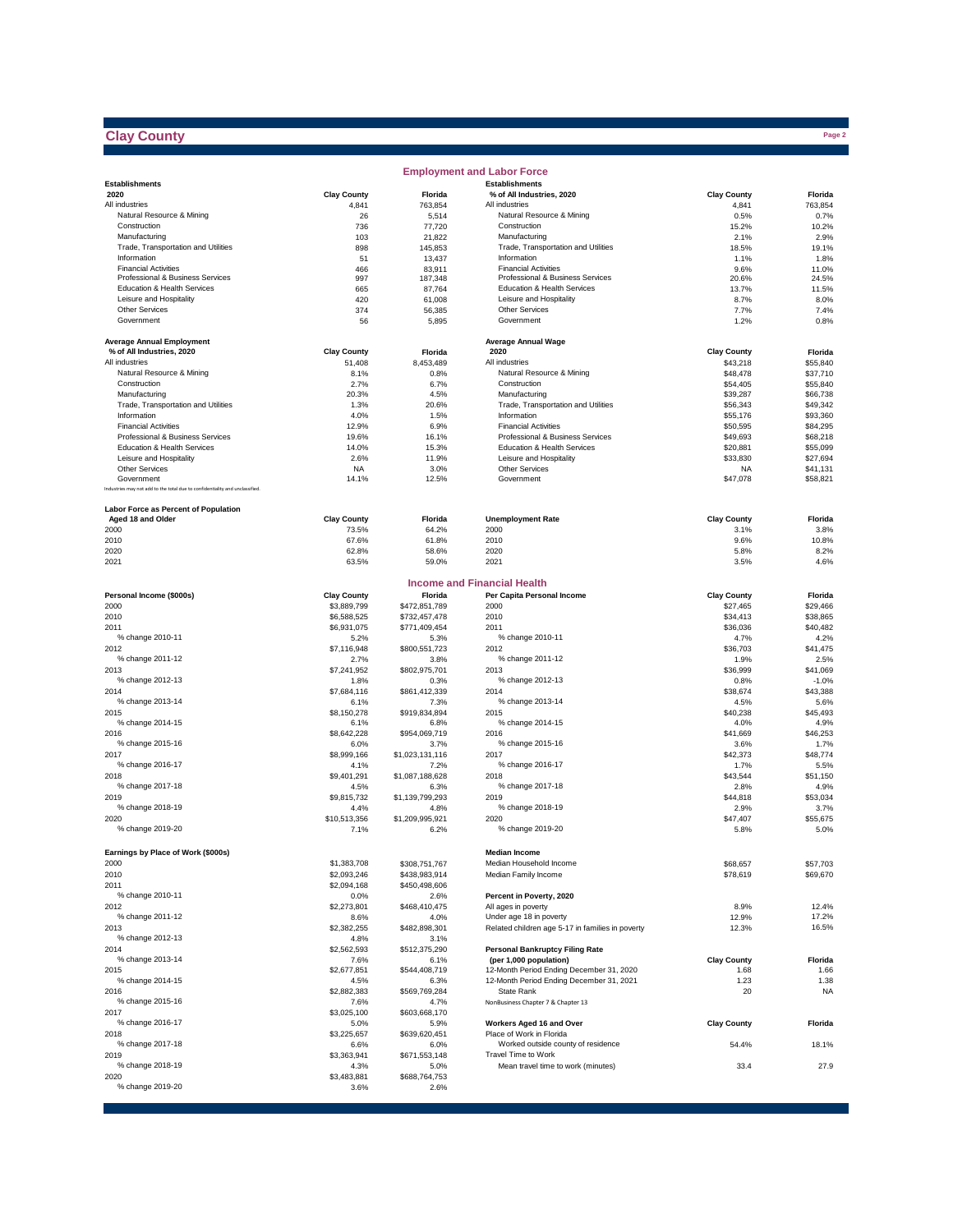## **Clay County**

|                                                                                            |                      |                                | <b>Employment and Labor Force</b>                              |                      |                      |
|--------------------------------------------------------------------------------------------|----------------------|--------------------------------|----------------------------------------------------------------|----------------------|----------------------|
| <b>Establishments</b>                                                                      |                      |                                | <b>Establishments</b>                                          |                      |                      |
| 2020                                                                                       | <b>Clay County</b>   | Florida                        | % of All Industries, 2020                                      | <b>Clay County</b>   | Florida              |
| All industries                                                                             | 4,841                | 763,854                        | All industries                                                 | 4,841                | 763,854              |
| Natural Resource & Mining<br>Construction                                                  | 26<br>736            | 5,514<br>77,720                | Natural Resource & Mining<br>Construction                      | 0.5%<br>15.2%        | 0.7%<br>10.2%        |
| Manufacturing                                                                              | 103                  | 21,822                         | Manufacturing                                                  | 2.1%                 | 2.9%                 |
| Trade, Transportation and Utilities                                                        | 898                  | 145,853                        | Trade, Transportation and Utilities                            | 18.5%                | 19.1%                |
| Information                                                                                | 51                   | 13,437                         | Information                                                    | 1.1%                 | 1.8%                 |
| <b>Financial Activities</b>                                                                | 466                  | 83,911                         | <b>Financial Activities</b>                                    | 9.6%                 | 11.0%                |
| Professional & Business Services                                                           | 997                  | 187,348                        | Professional & Business Services                               | 20.6%                | 24.5%                |
| Education & Health Services                                                                | 665                  | 87,764                         | Education & Health Services                                    | 13.7%                | 11.5%                |
| Leisure and Hospitality                                                                    | 420                  | 61,008                         | Leisure and Hospitality                                        | 8.7%                 | 8.0%                 |
| Other Services                                                                             | 374                  | 56,385                         | Other Services                                                 | 7.7%                 | 7.4%                 |
| Government                                                                                 | 56                   | 5,895                          | Government                                                     | 1.2%                 | 0.8%                 |
|                                                                                            |                      |                                |                                                                |                      |                      |
| <b>Average Annual Employment</b><br>% of All Industries, 2020                              | <b>Clay County</b>   | Florida                        | <b>Average Annual Wage</b><br>2020                             | <b>Clay County</b>   | Florida              |
| All industries                                                                             | 51,408               | 8,453,489                      | All industries                                                 | \$43,218             | \$55,840             |
| Natural Resource & Mining                                                                  | 8.1%                 | 0.8%                           | Natural Resource & Mining                                      | \$48,478             | \$37,710             |
| Construction                                                                               | 2.7%                 | 6.7%                           | Construction                                                   | \$54,405             | \$55,840             |
| Manufacturing                                                                              | 20.3%                | 4.5%                           | Manufacturing                                                  | \$39,287             | \$66,738             |
| Trade, Transportation and Utilities                                                        | 1.3%                 | 20.6%                          | Trade, Transportation and Utilities                            | \$56,343             | \$49,342             |
| Information                                                                                | 4.0%                 | 1.5%                           | Information                                                    | \$55,176             | \$93,360             |
| <b>Financial Activities</b>                                                                | 12.9%                | 6.9%                           | <b>Financial Activities</b>                                    | \$50,595             | \$84,295             |
| Professional & Business Services                                                           | 19.6%                | 16.1%                          | Professional & Business Services                               | \$49,693             | \$68,218             |
| Education & Health Services                                                                | 14.0%                | 15.3%                          | Education & Health Services                                    | \$20,881             | \$55,099             |
| Leisure and Hospitality                                                                    | 2.6%                 | 11.9%                          | Leisure and Hospitality                                        | \$33,830             | \$27,694             |
| <b>Other Services</b>                                                                      | <b>NA</b>            | 3.0%                           | Other Services                                                 | NA                   | \$41,131             |
| Government<br>Industries may not add to the total due to confidentiality and unclassified. | 14.1%                | 12.5%                          | Government                                                     | \$47,078             | \$58,821             |
|                                                                                            |                      |                                |                                                                |                      |                      |
| Labor Force as Percent of Population                                                       |                      |                                |                                                                |                      |                      |
| Aged 18 and Older                                                                          | <b>Clay County</b>   | Florida                        | <b>Unemployment Rate</b>                                       | <b>Clay County</b>   | Florida              |
| 2000                                                                                       | 73.5%                | 64.2%                          | 2000                                                           | 3.1%                 | 3.8%                 |
| 2010                                                                                       | 67.6%                | 61.8%                          | 2010                                                           | 9.6%                 | 10.8%                |
| 2020                                                                                       | 62.8%                | 58.6%                          | 2020                                                           | 5.8%                 | 8.2%                 |
| 2021                                                                                       | 63.5%                | 59.0%                          | 2021                                                           | 3.5%                 | 4.6%                 |
|                                                                                            |                      |                                |                                                                |                      |                      |
|                                                                                            |                      |                                | <b>Income and Financial Health</b>                             |                      |                      |
| Personal Income (\$000s)                                                                   | <b>Clay County</b>   | Florida                        | Per Capita Personal Income                                     | <b>Clay County</b>   | Florida              |
| 2000                                                                                       | \$3,889,799          | \$472,851,789                  | 2000                                                           | \$27,465             | \$29,466             |
| 2010                                                                                       | \$6,588,525          | \$732,457,478                  | 2010                                                           | \$34,413             | \$38,865             |
| 2011                                                                                       | \$6,931,075          | \$771,409,454                  | 2011                                                           | \$36,036             | \$40,482             |
| % change 2010-11                                                                           | 5.2%                 | 5.3%                           | % change 2010-11                                               | 4.7%                 | 4.2%                 |
| 2012<br>% change 2011-12                                                                   | \$7,116,948          | \$800,551,723                  | 2012<br>% change 2011-12                                       | \$36,703             | \$41,475             |
| 2013                                                                                       | 2.7%<br>\$7,241,952  | 3.8%<br>\$802,975,701          | 2013                                                           | 1.9%<br>\$36,999     | 2.5%<br>\$41,069     |
| % change 2012-13                                                                           | 1.8%                 | 0.3%                           | % change 2012-13                                               | 0.8%                 | $-1.0%$              |
| 2014                                                                                       | \$7,684,116          | \$861,412,339                  | 2014                                                           | \$38,674             | \$43,388             |
| % change 2013-14                                                                           | 6.1%                 | 7.3%                           | % change 2013-14                                               | 4.5%                 | 5.6%                 |
| 2015                                                                                       | \$8,150,278          | \$919,834,894                  | 2015                                                           | \$40,238             | \$45,493             |
| % change 2014-15                                                                           | 6.1%                 | 6.8%                           | % change 2014-15                                               | 4.0%                 | 4.9%                 |
| 2016                                                                                       | \$8,642,228          | \$954,069,719                  | 2016                                                           | \$41,669             | \$46,253             |
| % change 2015-16                                                                           | 6.0%                 | 3.7%                           | % change 2015-16                                               | 3.6%                 | 1.7%                 |
| 2017                                                                                       | \$8,999,166          | \$1,023,131,116                | 2017                                                           | \$42,373             | \$48,774             |
| % change 2016-17                                                                           | 4.1%                 | 7.2%                           | % change 2016-17                                               | 1.7%                 | 5.5%                 |
| 2018                                                                                       | \$9,401,291          | \$1,087,188,628                | 2018                                                           | \$43,544             | \$51,150             |
| % change 2017-18                                                                           | 4.5%                 | 6.3%                           | % change 2017-18                                               | 2.8%                 | 4.9%                 |
| 2019                                                                                       | \$9,815,732          | \$1,139,799,293                | 2019                                                           | \$44,818             | \$53,034             |
| % change 2018-19                                                                           | 4.4%                 | 4.8%                           | % change 2018-19                                               | 2.9%                 | 3.7%                 |
| 2020<br>% change 2019-20                                                                   | \$10,513,356<br>7.1% | \$1,209,995,921<br>6.2%        | 2020<br>% change 2019-20                                       | \$47,407<br>5.8%     | \$55,675<br>5.0%     |
|                                                                                            |                      |                                |                                                                |                      |                      |
|                                                                                            |                      |                                | <b>Median Income</b>                                           |                      |                      |
| Earnings by Place of Work (\$000s)<br>2000                                                 | \$1,383,708          |                                | Median Household Income                                        |                      |                      |
| 2010                                                                                       | \$2,093,246          | \$308,751,767                  | Median Family Income                                           | \$68,657<br>\$78,619 | \$57,703<br>\$69,670 |
| 2011                                                                                       |                      | \$438,983,914<br>\$450,498,606 |                                                                |                      |                      |
| % change 2010-11                                                                           | \$2,094,168<br>0.0%  | 2.6%                           | Percent in Poverty, 2020                                       |                      |                      |
| 2012                                                                                       | \$2,273,801          | \$468,410,475                  | All ages in poverty                                            | 8.9%                 | 12.4%                |
| % change 2011-12                                                                           | 8.6%                 | 4.0%                           | Under age 18 in poverty                                        | 12.9%                | 17.2%                |
| 2013                                                                                       | \$2,382,255          | \$482,898,301                  | Related children age 5-17 in families in poverty               | 12.3%                | 16.5%                |
| % change 2012-13                                                                           | 4.8%                 | 3.1%                           |                                                                |                      |                      |
| 2014                                                                                       | \$2,562,593          | \$512,375,290                  | <b>Personal Bankruptcy Filing Rate</b>                         |                      |                      |
| % change 2013-14                                                                           | 7.6%                 | 6.1%                           | (per 1,000 population)                                         | <b>Clay County</b>   | Florida              |
| 2015                                                                                       | \$2,677,851          | \$544,408,719                  | 12-Month Period Ending December 31, 2020                       | 1.68                 | 1.66                 |
| % change 2014-15                                                                           | 4.5%                 | 6.3%                           | 12-Month Period Ending December 31, 2021                       | 1.23                 | 1.38                 |
| 2016                                                                                       | \$2,882,383          | \$569,769,284                  | <b>State Rank</b>                                              | 20                   | <b>NA</b>            |
| % change 2015-16                                                                           | 7.6%                 | 4.7%                           | NonBusiness Chapter 7 & Chapter 13                             |                      |                      |
| 2017                                                                                       | \$3,025,100          | \$603,668,170                  |                                                                |                      |                      |
| % change 2016-17                                                                           | 5.0%                 | 5.9%                           | Workers Aged 16 and Over                                       | <b>Clay County</b>   | Florida              |
| 2018<br>% change 2017-18                                                                   | \$3,225,657          | \$639,620,451                  | Place of Work in Florida<br>Worked outside county of residence |                      |                      |
| 2019                                                                                       | 6.6%<br>\$3,363,941  | 6.0%<br>\$671,553,148          | Travel Time to Work                                            | 54.4%                | 18.1%                |
| % change 2018-19                                                                           | 4.3%                 | 5.0%                           | Mean travel time to work (minutes)                             | 33.4                 | 27.9                 |
| 2020                                                                                       | \$3,483,881          | \$688,764,753                  |                                                                |                      |                      |
| % change 2019-20                                                                           | 3.6%                 | 2.6%                           |                                                                |                      |                      |